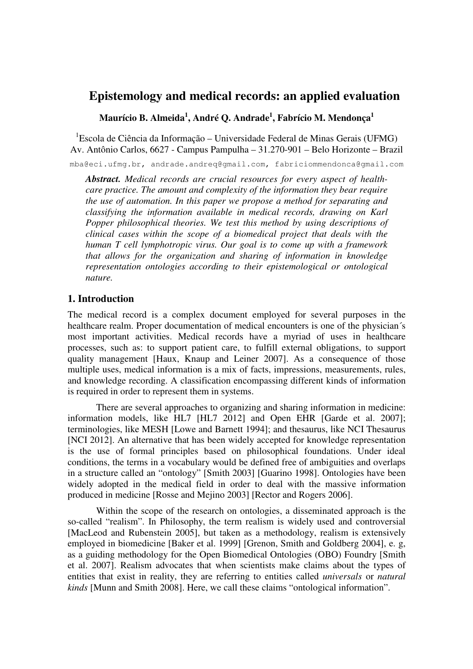# **Epistemology and medical records: an applied evaluation**

**Maurício B. Almeida<sup>1</sup> , André Q. Andrade<sup>1</sup> , Fabrício M. Mendonça<sup>1</sup>**

<sup>1</sup>Escola de Ciência da Informação – Universidade Federal de Minas Gerais (UFMG) Av. Antônio Carlos, 6627 - Campus Pampulha – 31.270-901 – Belo Horizonte – Brazil

mba@eci.ufmg.br, andrade.andreq@gmail.com, fabriciommendonca@gmail.com

*Abstract. Medical records are crucial resources for every aspect of healthcare practice. The amount and complexity of the information they bear require the use of automation. In this paper we propose a method for separating and classifying the information available in medical records, drawing on Karl Popper philosophical theories. We test this method by using descriptions of clinical cases within the scope of a biomedical project that deals with the human T cell lymphotropic virus. Our goal is to come up with a framework that allows for the organization and sharing of information in knowledge representation ontologies according to their epistemological or ontological nature.* 

## **1. Introduction**

The medical record is a complex document employed for several purposes in the healthcare realm. Proper documentation of medical encounters is one of the physician´s most important activities. Medical records have a myriad of uses in healthcare processes, such as: to support patient care, to fulfill external obligations, to support quality management [Haux, Knaup and Leiner 2007]. As a consequence of those multiple uses, medical information is a mix of facts, impressions, measurements, rules, and knowledge recording. A classification encompassing different kinds of information is required in order to represent them in systems.

 There are several approaches to organizing and sharing information in medicine: information models, like HL7 [HL7 2012] and Open EHR [Garde et al. 2007]; terminologies, like MESH [Lowe and Barnett 1994]; and thesaurus, like NCI Thesaurus [NCI 2012]. An alternative that has been widely accepted for knowledge representation is the use of formal principles based on philosophical foundations. Under ideal conditions, the terms in a vocabulary would be defined free of ambiguities and overlaps in a structure called an "ontology" [Smith 2003] [Guarino 1998]. Ontologies have been widely adopted in the medical field in order to deal with the massive information produced in medicine [Rosse and Mejino 2003] [Rector and Rogers 2006].

 Within the scope of the research on ontologies, a disseminated approach is the so-called "realism". In Philosophy, the term realism is widely used and controversial [MacLeod and Rubenstein 2005], but taken as a methodology, realism is extensively employed in biomedicine [Baker et al. 1999] [Grenon, Smith and Goldberg 2004], e. g, as a guiding methodology for the Open Biomedical Ontologies (OBO) Foundry [Smith et al. 2007]. Realism advocates that when scientists make claims about the types of entities that exist in reality, they are referring to entities called *universals* or *natural kinds* [Munn and Smith 2008]. Here, we call these claims "ontological information".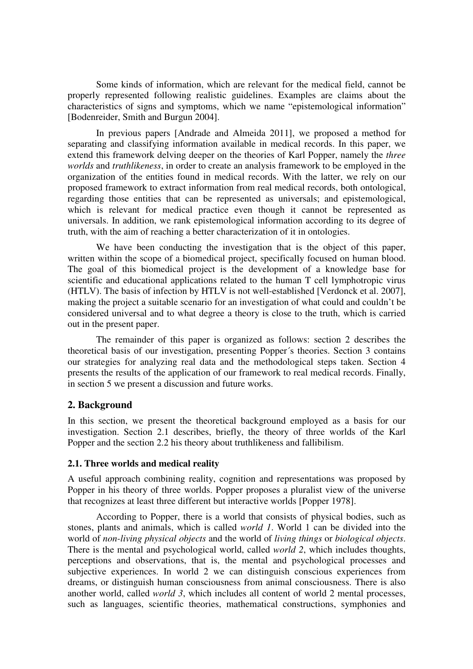Some kinds of information, which are relevant for the medical field, cannot be properly represented following realistic guidelines. Examples are claims about the characteristics of signs and symptoms, which we name "epistemological information" [Bodenreider, Smith and Burgun 2004].

 In previous papers [Andrade and Almeida 2011], we proposed a method for separating and classifying information available in medical records. In this paper, we extend this framework delving deeper on the theories of Karl Popper, namely the *three worlds* and *truthlikeness*, in order to create an analysis framework to be employed in the organization of the entities found in medical records. With the latter, we rely on our proposed framework to extract information from real medical records, both ontological, regarding those entities that can be represented as universals; and epistemological, which is relevant for medical practice even though it cannot be represented as universals. In addition, we rank epistemological information according to its degree of truth, with the aim of reaching a better characterization of it in ontologies.

 We have been conducting the investigation that is the object of this paper, written within the scope of a biomedical project, specifically focused on human blood. The goal of this biomedical project is the development of a knowledge base for scientific and educational applications related to the human T cell lymphotropic virus (HTLV). The basis of infection by HTLV is not well-established [Verdonck et al. 2007], making the project a suitable scenario for an investigation of what could and couldn't be considered universal and to what degree a theory is close to the truth, which is carried out in the present paper.

 The remainder of this paper is organized as follows: section 2 describes the theoretical basis of our investigation, presenting Popper´s theories. Section 3 contains our strategies for analyzing real data and the methodological steps taken. Section 4 presents the results of the application of our framework to real medical records. Finally, in section 5 we present a discussion and future works.

### **2. Background**

In this section, we present the theoretical background employed as a basis for our investigation. Section 2.1 describes, briefly, the theory of three worlds of the Karl Popper and the section 2.2 his theory about truthlikeness and fallibilism.

#### **2.1. Three worlds and medical reality**

A useful approach combining reality, cognition and representations was proposed by Popper in his theory of three worlds. Popper proposes a pluralist view of the universe that recognizes at least three different but interactive worlds [Popper 1978].

 According to Popper, there is a world that consists of physical bodies, such as stones, plants and animals, which is called *world 1*. World 1 can be divided into the world of *non-living physical objects* and the world of *living things* or *biological objects*. There is the mental and psychological world, called *world 2*, which includes thoughts, perceptions and observations, that is, the mental and psychological processes and subjective experiences. In world 2 we can distinguish conscious experiences from dreams, or distinguish human consciousness from animal consciousness. There is also another world, called *world 3*, which includes all content of world 2 mental processes, such as languages, scientific theories, mathematical constructions, symphonies and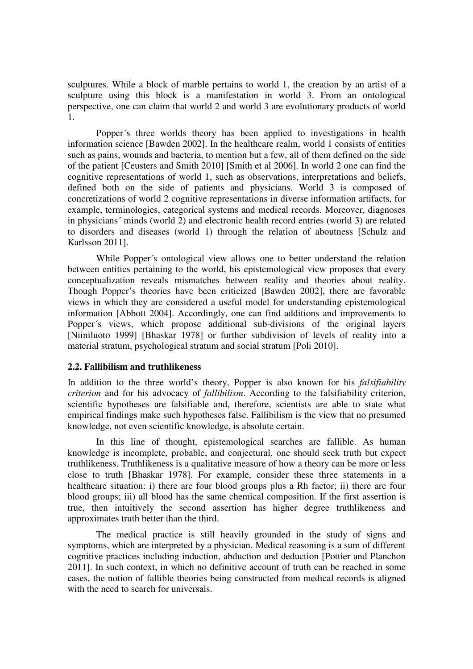sculptures. While a block of marble pertains to world 1, the creation by an artist of a sculpture using this block is a manifestation in world 3. From an ontological perspective, one can claim that world 2 and world 3 are evolutionary products of world 1.

 Popper´s three worlds theory has been applied to investigations in health information science [Bawden 2002]. In the healthcare realm, world 1 consists of entities such as pains, wounds and bacteria, to mention but a few, all of them defined on the side of the patient [Ceusters and Smith 2010] [Smith et al 2006]. In world 2 one can find the cognitive representations of world 1, such as observations, interpretations and beliefs, defined both on the side of patients and physicians. World 3 is composed of concretizations of world 2 cognitive representations in diverse information artifacts, for example, terminologies, categorical systems and medical records. Moreover, diagnoses in physicians´ minds (world 2) and electronic health record entries (world 3) are related to disorders and diseases (world 1) through the relation of aboutness [Schulz and Karlsson 2011].

While Popper's ontological view allows one to better understand the relation between entities pertaining to the world, his epistemological view proposes that every conceptualization reveals mismatches between reality and theories about reality. Though Popper's theories have been criticized [Bawden 2002], there are favorable views in which they are considered a useful model for understanding epistemological information [Abbott 2004]. Accordingly, one can find additions and improvements to Popper´s views, which propose additional sub-divisions of the original layers [Niiniluoto 1999] [Bhaskar 1978] or further subdivision of levels of reality into a material stratum, psychological stratum and social stratum [Poli 2010].

### **2.2. Fallibilism and truthlikeness**

In addition to the three world's theory, Popper is also known for his *falsifiability criterion* and for his advocacy of *fallibilism*. According to the falsifiability criterion, scientific hypotheses are falsifiable and, therefore, scientists are able to state what empirical findings make such hypotheses false. Fallibilism is the view that no presumed knowledge, not even scientific knowledge, is absolute certain.

 In this line of thought, epistemological searches are fallible. As human knowledge is incomplete, probable, and conjectural, one should seek truth but expect truthlikeness. Truthlikeness is a qualitative measure of how a theory can be more or less close to truth [Bhaskar 1978]. For example, consider these three statements in a healthcare situation: i) there are four blood groups plus a Rh factor; ii) there are four blood groups; iii) all blood has the same chemical composition. If the first assertion is true, then intuitively the second assertion has higher degree truthlikeness and approximates truth better than the third.

 The medical practice is still heavily grounded in the study of signs and symptoms, which are interpreted by a physician. Medical reasoning is a sum of different cognitive practices including induction, abduction and deduction [Pottier and Planchon 2011]. In such context, in which no definitive account of truth can be reached in some cases, the notion of fallible theories being constructed from medical records is aligned with the need to search for universals.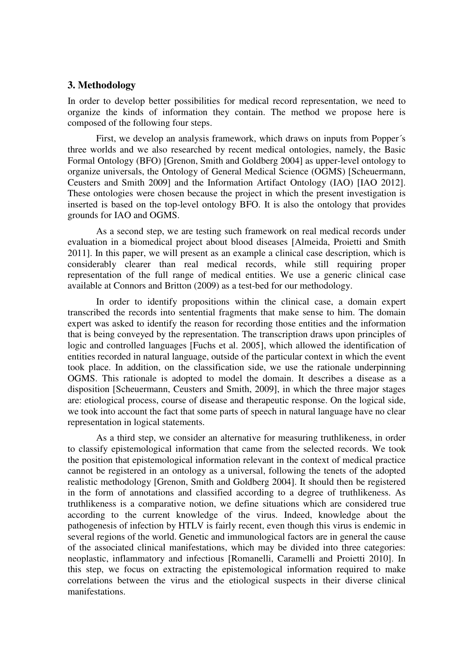### **3. Methodology**

In order to develop better possibilities for medical record representation, we need to organize the kinds of information they contain. The method we propose here is composed of the following four steps.

 First, we develop an analysis framework, which draws on inputs from Popper´s three worlds and we also researched by recent medical ontologies, namely, the Basic Formal Ontology (BFO) [Grenon, Smith and Goldberg 2004] as upper-level ontology to organize universals, the Ontology of General Medical Science (OGMS) [Scheuermann, Ceusters and Smith 2009] and the Information Artifact Ontology (IAO) [IAO 2012]. These ontologies were chosen because the project in which the present investigation is inserted is based on the top-level ontology BFO. It is also the ontology that provides grounds for IAO and OGMS.

 As a second step, we are testing such framework on real medical records under evaluation in a biomedical project about blood diseases [Almeida, Proietti and Smith 2011]. In this paper, we will present as an example a clinical case description, which is considerably clearer than real medical records, while still requiring proper representation of the full range of medical entities. We use a generic clinical case available at Connors and Britton (2009) as a test-bed for our methodology.

 In order to identify propositions within the clinical case, a domain expert transcribed the records into sentential fragments that make sense to him. The domain expert was asked to identify the reason for recording those entities and the information that is being conveyed by the representation. The transcription draws upon principles of logic and controlled languages [Fuchs et al. 2005], which allowed the identification of entities recorded in natural language, outside of the particular context in which the event took place. In addition, on the classification side, we use the rationale underpinning OGMS. This rationale is adopted to model the domain. It describes a disease as a disposition [Scheuermann, Ceusters and Smith, 2009], in which the three major stages are: etiological process, course of disease and therapeutic response. On the logical side, we took into account the fact that some parts of speech in natural language have no clear representation in logical statements.

 As a third step, we consider an alternative for measuring truthlikeness, in order to classify epistemological information that came from the selected records. We took the position that epistemological information relevant in the context of medical practice cannot be registered in an ontology as a universal, following the tenets of the adopted realistic methodology [Grenon, Smith and Goldberg 2004]. It should then be registered in the form of annotations and classified according to a degree of truthlikeness. As truthlikeness is a comparative notion, we define situations which are considered true according to the current knowledge of the virus. Indeed, knowledge about the pathogenesis of infection by HTLV is fairly recent, even though this virus is endemic in several regions of the world. Genetic and immunological factors are in general the cause of the associated clinical manifestations, which may be divided into three categories: neoplastic, inflammatory and infectious [Romanelli, Caramelli and Proietti 2010]. In this step, we focus on extracting the epistemological information required to make correlations between the virus and the etiological suspects in their diverse clinical manifestations.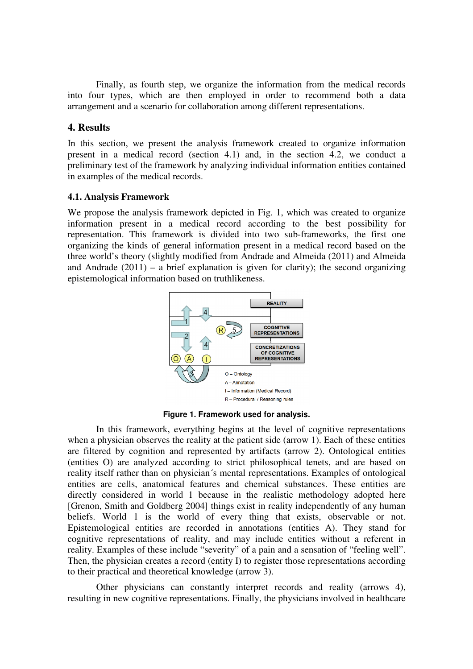Finally, as fourth step, we organize the information from the medical records into four types, which are then employed in order to recommend both a data arrangement and a scenario for collaboration among different representations.

# **4. Results**

In this section, we present the analysis framework created to organize information present in a medical record (section 4.1) and, in the section 4.2, we conduct a preliminary test of the framework by analyzing individual information entities contained in examples of the medical records.

### **4.1. Analysis Framework**

We propose the analysis framework depicted in Fig. 1, which was created to organize information present in a medical record according to the best possibility for representation. This framework is divided into two sub-frameworks, the first one organizing the kinds of general information present in a medical record based on the three world's theory (slightly modified from Andrade and Almeida (2011) and Almeida and Andrade  $(2011)$  – a brief explanation is given for clarity); the second organizing epistemological information based on truthlikeness.



**Figure 1. Framework used for analysis.** 

 In this framework, everything begins at the level of cognitive representations when a physician observes the reality at the patient side (arrow 1). Each of these entities are filtered by cognition and represented by artifacts (arrow 2). Ontological entities (entities O) are analyzed according to strict philosophical tenets, and are based on reality itself rather than on physician´s mental representations. Examples of ontological entities are cells, anatomical features and chemical substances. These entities are directly considered in world 1 because in the realistic methodology adopted here [Grenon, Smith and Goldberg 2004] things exist in reality independently of any human beliefs. World 1 is the world of every thing that exists, observable or not. Epistemological entities are recorded in annotations (entities A). They stand for cognitive representations of reality, and may include entities without a referent in reality. Examples of these include "severity" of a pain and a sensation of "feeling well". Then, the physician creates a record (entity I) to register those representations according to their practical and theoretical knowledge (arrow 3).

 Other physicians can constantly interpret records and reality (arrows 4), resulting in new cognitive representations. Finally, the physicians involved in healthcare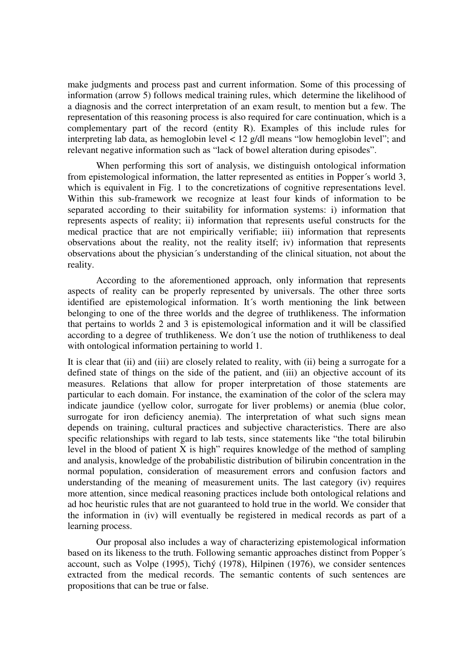make judgments and process past and current information. Some of this processing of information (arrow 5) follows medical training rules, which determine the likelihood of a diagnosis and the correct interpretation of an exam result, to mention but a few. The representation of this reasoning process is also required for care continuation, which is a complementary part of the record (entity R). Examples of this include rules for interpreting lab data, as hemoglobin level < 12 g/dl means "low hemoglobin level"; and relevant negative information such as "lack of bowel alteration during episodes".

 When performing this sort of analysis, we distinguish ontological information from epistemological information, the latter represented as entities in Popper´s world 3, which is equivalent in Fig. 1 to the concretizations of cognitive representations level. Within this sub-framework we recognize at least four kinds of information to be separated according to their suitability for information systems: i) information that represents aspects of reality; ii) information that represents useful constructs for the medical practice that are not empirically verifiable; iii) information that represents observations about the reality, not the reality itself; iv) information that represents observations about the physician´s understanding of the clinical situation, not about the reality.

 According to the aforementioned approach, only information that represents aspects of reality can be properly represented by universals. The other three sorts identified are epistemological information. It´s worth mentioning the link between belonging to one of the three worlds and the degree of truthlikeness. The information that pertains to worlds 2 and 3 is epistemological information and it will be classified according to a degree of truthlikeness. We don´t use the notion of truthlikeness to deal with ontological information pertaining to world 1.

It is clear that (ii) and (iii) are closely related to reality, with (ii) being a surrogate for a defined state of things on the side of the patient, and (iii) an objective account of its measures. Relations that allow for proper interpretation of those statements are particular to each domain. For instance, the examination of the color of the sclera may indicate jaundice (yellow color, surrogate for liver problems) or anemia (blue color, surrogate for iron deficiency anemia). The interpretation of what such signs mean depends on training, cultural practices and subjective characteristics. There are also specific relationships with regard to lab tests, since statements like "the total bilirubin level in the blood of patient  $\overline{X}$  is high" requires knowledge of the method of sampling and analysis, knowledge of the probabilistic distribution of bilirubin concentration in the normal population, consideration of measurement errors and confusion factors and understanding of the meaning of measurement units. The last category (iv) requires more attention, since medical reasoning practices include both ontological relations and ad hoc heuristic rules that are not guaranteed to hold true in the world. We consider that the information in (iv) will eventually be registered in medical records as part of a learning process.

 Our proposal also includes a way of characterizing epistemological information based on its likeness to the truth. Following semantic approaches distinct from Popper´s account, such as Volpe (1995), Tichý (1978), Hilpinen (1976), we consider sentences extracted from the medical records. The semantic contents of such sentences are propositions that can be true or false.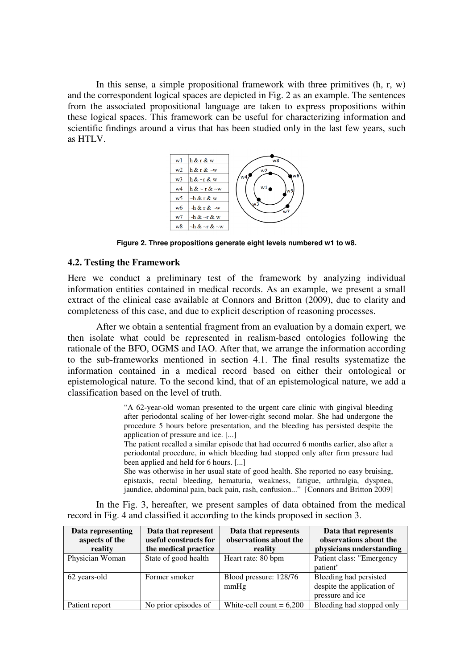In this sense, a simple propositional framework with three primitives  $(h, r, w)$ and the correspondent logical spaces are depicted in Fig. 2 as an example. The sentences from the associated propositional language are taken to express propositions within these logical spaces. This framework can be useful for characterizing information and scientific findings around a virus that has been studied only in the last few years, such as HTLV.



**Figure 2. Three propositions generate eight levels numbered w1 to w8.** 

#### **4.2. Testing the Framework**

Here we conduct a preliminary test of the framework by analyzing individual information entities contained in medical records. As an example, we present a small extract of the clinical case available at Connors and Britton (2009), due to clarity and completeness of this case, and due to explicit description of reasoning processes.

 After we obtain a sentential fragment from an evaluation by a domain expert, we then isolate what could be represented in realism-based ontologies following the rationale of the BFO, OGMS and IAO. After that, we arrange the information according to the sub-frameworks mentioned in section 4.1. The final results systematize the information contained in a medical record based on either their ontological or epistemological nature. To the second kind, that of an epistemological nature, we add a classification based on the level of truth.

> "A 62-year-old woman presented to the urgent care clinic with gingival bleeding after periodontal scaling of her lower-right second molar. She had undergone the procedure 5 hours before presentation, and the bleeding has persisted despite the application of pressure and ice. [...]

> The patient recalled a similar episode that had occurred 6 months earlier, also after a periodontal procedure, in which bleeding had stopped only after firm pressure had been applied and held for 6 hours. [...]

> She was otherwise in her usual state of good health. She reported no easy bruising, epistaxis, rectal bleeding, hematuria, weakness, fatigue, arthralgia, dyspnea, jaundice, abdominal pain, back pain, rash, confusion..." [Connors and Britton 2009]

 In the Fig. 3, hereafter, we present samples of data obtained from the medical record in Fig. 4 and classified it according to the kinds proposed in section 3.

| Data representing<br>aspects of the<br>reality | Data that represent<br>useful constructs for<br>the medical practice | Data that represents<br>observations about the<br>reality | Data that represents<br>observations about the<br>physicians understanding |
|------------------------------------------------|----------------------------------------------------------------------|-----------------------------------------------------------|----------------------------------------------------------------------------|
| Physician Woman                                | State of good health                                                 | Heart rate: 80 bpm                                        | Patient class: "Emergency<br>patient"                                      |
| 62 years-old                                   | Former smoker                                                        | Blood pressure: 128/76<br>mmHg                            | Bleeding had persisted<br>despite the application of<br>pressure and ice   |
| Patient report                                 | No prior episodes of                                                 | White-cell count = $6,200$                                | Bleeding had stopped only                                                  |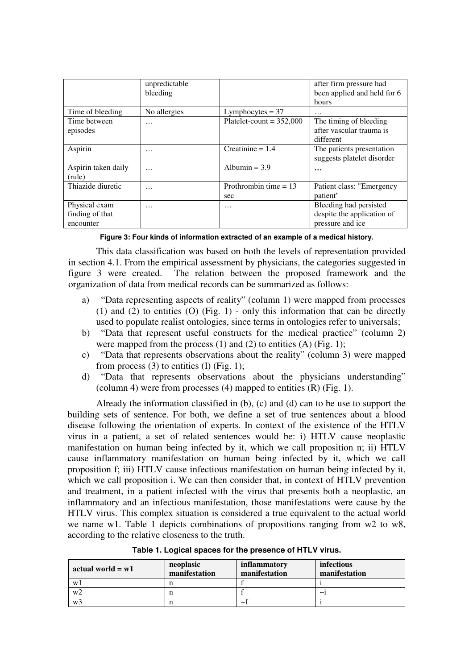|                                               | unpredictable<br>bleeding |                                | after firm pressure had<br>been applied and held for 6<br>hours          |
|-----------------------------------------------|---------------------------|--------------------------------|--------------------------------------------------------------------------|
| Time of bleeding                              | No allergies              | Lymphocytes $=$ 37             | $\cdots$                                                                 |
| Time between<br>episodes                      | $\cdots$                  | Platelet-count = $352,000$     | The timing of bleeding<br>after vascular trauma is<br>different          |
| Aspirin                                       | $\cdots$                  | Creatinine $= 1.4$             | The patients presentation<br>suggests platelet disorder                  |
| Aspirin taken daily<br>(rule)                 | $\cdots$                  | Albumin = $3.9$                | $\ddotsc$                                                                |
| Thiazide diuretic                             | $\cdots$                  | Prothrombin time $= 13$<br>sec | Patient class: "Emergency<br>patient"                                    |
| Physical exam<br>finding of that<br>encounter | .                         | $\cdots$                       | Bleeding had persisted<br>despite the application of<br>pressure and ice |

**Figure 3: Four kinds of information extracted of an example of a medical history.** 

 This data classification was based on both the levels of representation provided in section 4.1. From the empirical assessment by physicians, the categories suggested in figure 3 were created. The relation between the proposed framework and the organization of data from medical records can be summarized as follows:

- a) "Data representing aspects of reality" (column 1) were mapped from processes (1) and (2) to entities (O) (Fig. 1) - only this information that can be directly used to populate realist ontologies, since terms in ontologies refer to universals;
- b) "Data that represent useful constructs for the medical practice" (column 2) were mapped from the process  $(1)$  and  $(2)$  to entities  $(A)$  (Fig. 1);
- c) "Data that represents observations about the reality" (column 3) were mapped from process  $(3)$  to entities  $(I)$  (Fig. 1);
- d) "Data that represents observations about the physicians understanding" (column 4) were from processes  $(4)$  mapped to entities  $(R)$  (Fig. 1).

 Already the information classified in (b), (c) and (d) can to be use to support the building sets of sentence. For both, we define a set of true sentences about a blood disease following the orientation of experts. In context of the existence of the HTLV virus in a patient, a set of related sentences would be: i) HTLV cause neoplastic manifestation on human being infected by it, which we call proposition n; ii) HTLV cause inflammatory manifestation on human being infected by it, which we call proposition f; iii) HTLV cause infectious manifestation on human being infected by it, which we call proposition i. We can then consider that, in context of HTLV prevention and treatment, in a patient infected with the virus that presents both a neoplastic, an inflammatory and an infectious manifestation, those manifestations were cause by the HTLV virus. This complex situation is considered a true equivalent to the actual world we name w1. Table 1 depicts combinations of propositions ranging from w2 to w8, according to the relative closeness to the truth.

**Table 1. Logical spaces for the presence of HTLV virus.** 

| actual world $= w1$ | neoplasic<br>manifestation | inflammatory<br>manifestation | infectious<br>manifestation |
|---------------------|----------------------------|-------------------------------|-----------------------------|
| W1                  |                            |                               |                             |
| w2                  |                            |                               | ~                           |
| W <sup>3</sup>      |                            | $\sim$                        |                             |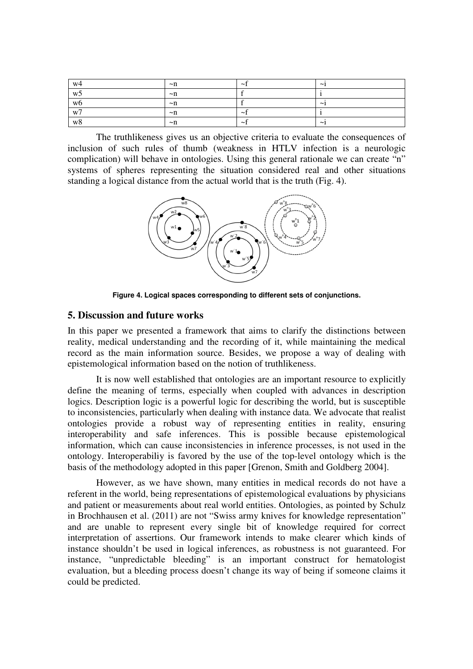| w4      | $\nu$ n  | $\sim$   | $\tilde{\phantom{a}}$ |
|---------|----------|----------|-----------------------|
| -<br>w5 | $\nu$ n  |          |                       |
| w6      | $\nu$ n  |          | $\sim$                |
| w7      | $\nu$ n  | $\sim$   |                       |
| w8      | $\neg$ n | $\sim$ 1 | $\tilde{\phantom{a}}$ |

 The truthlikeness gives us an objective criteria to evaluate the consequences of inclusion of such rules of thumb (weakness in HTLV infection is a neurologic complication) will behave in ontologies. Using this general rationale we can create "n" systems of spheres representing the situation considered real and other situations standing a logical distance from the actual world that is the truth (Fig. 4).



**Figure 4. Logical spaces corresponding to different sets of conjunctions.** 

### **5. Discussion and future works**

In this paper we presented a framework that aims to clarify the distinctions between reality, medical understanding and the recording of it, while maintaining the medical record as the main information source. Besides, we propose a way of dealing with epistemological information based on the notion of truthlikeness.

 It is now well established that ontologies are an important resource to explicitly define the meaning of terms, especially when coupled with advances in description logics. Description logic is a powerful logic for describing the world, but is susceptible to inconsistencies, particularly when dealing with instance data. We advocate that realist ontologies provide a robust way of representing entities in reality, ensuring interoperability and safe inferences. This is possible because epistemological information, which can cause inconsistencies in inference processes, is not used in the ontology. Interoperabiliy is favored by the use of the top-level ontology which is the basis of the methodology adopted in this paper [Grenon, Smith and Goldberg 2004].

 However, as we have shown, many entities in medical records do not have a referent in the world, being representations of epistemological evaluations by physicians and patient or measurements about real world entities. Ontologies, as pointed by Schulz in Brochhausen et al. (2011) are not "Swiss army knives for knowledge representation" and are unable to represent every single bit of knowledge required for correct interpretation of assertions. Our framework intends to make clearer which kinds of instance shouldn't be used in logical inferences, as robustness is not guaranteed. For instance, "unpredictable bleeding" is an important construct for hematologist evaluation, but a bleeding process doesn't change its way of being if someone claims it could be predicted.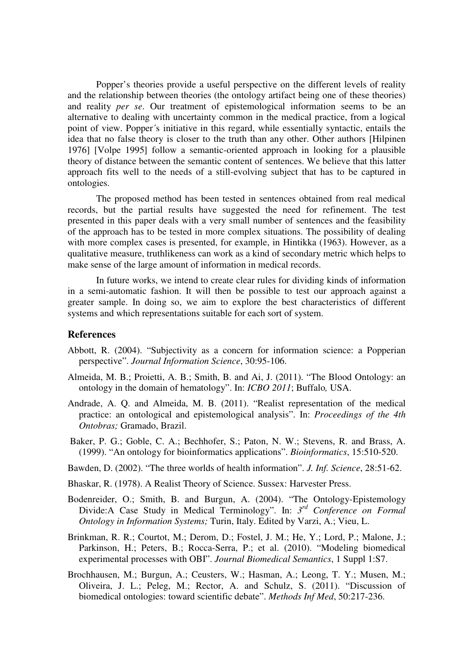Popper's theories provide a useful perspective on the different levels of reality and the relationship between theories (the ontology artifact being one of these theories) and reality *per se*. Our treatment of epistemological information seems to be an alternative to dealing with uncertainty common in the medical practice, from a logical point of view. Popper´s initiative in this regard, while essentially syntactic, entails the idea that no false theory is closer to the truth than any other. Other authors [Hilpinen 1976] [Volpe 1995] follow a semantic-oriented approach in looking for a plausible theory of distance between the semantic content of sentences. We believe that this latter approach fits well to the needs of a still-evolving subject that has to be captured in ontologies.

 The proposed method has been tested in sentences obtained from real medical records, but the partial results have suggested the need for refinement. The test presented in this paper deals with a very small number of sentences and the feasibility of the approach has to be tested in more complex situations. The possibility of dealing with more complex cases is presented, for example, in Hintikka (1963). However, as a qualitative measure, truthlikeness can work as a kind of secondary metric which helps to make sense of the large amount of information in medical records.

 In future works, we intend to create clear rules for dividing kinds of information in a semi-automatic fashion. It will then be possible to test our approach against a greater sample. In doing so, we aim to explore the best characteristics of different systems and which representations suitable for each sort of system.

### **References**

- Abbott, R. (2004). "Subjectivity as a concern for information science: a Popperian perspective". *Journal Information Science*, 30:95-106.
- Almeida, M. B.; Proietti, A. B.; Smith, B. and Ai, J. (2011). "The Blood Ontology: an ontology in the domain of hematology". In: *ICBO 2011*; Buffalo*,* USA.
- Andrade, A. Q. and Almeida, M. B. (2011). "Realist representation of the medical practice: an ontological and epistemological analysis". In: *Proceedings of the 4th Ontobras;* Gramado, Brazil.
- Baker, P. G.; Goble, C. A.; Bechhofer, S.; Paton, N. W.; Stevens, R. and Brass, A. (1999). "An ontology for bioinformatics applications". *Bioinformatics*, 15:510-520.
- Bawden, D. (2002). "The three worlds of health information". *J. Inf. Science*, 28:51-62.
- Bhaskar, R. (1978). A Realist Theory of Science. Sussex: Harvester Press.
- Bodenreider, O.; Smith, B. and Burgun, A. (2004). "The Ontology-Epistemology Divide:A Case Study in Medical Terminology". In: *3 rd Conference on Formal Ontology in Information Systems;* Turin, Italy. Edited by Varzi, A.; Vieu, L.
- Brinkman, R. R.; Courtot, M.; Derom, D.; Fostel, J. M.; He, Y.; Lord, P.; Malone, J.; Parkinson, H.; Peters, B.; Rocca-Serra, P.; et al. (2010). "Modeling biomedical experimental processes with OBI". *Journal Biomedical Semantics*, 1 Suppl 1:S7.
- Brochhausen, M.; Burgun, A.; Ceusters, W.; Hasman, A.; Leong, T. Y.; Musen, M.; Oliveira, J. L.; Peleg, M.; Rector, A. and Schulz, S. (2011). "Discussion of biomedical ontologies: toward scientific debate". *Methods Inf Med*, 50:217-236.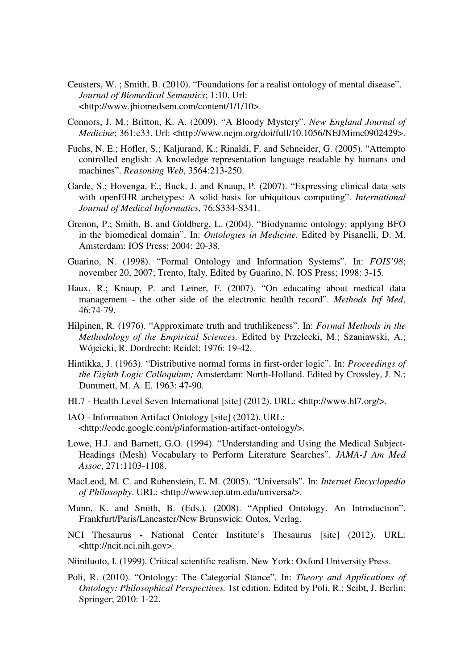- Ceusters, W. ; Smith, B. (2010). "Foundations for a realist ontology of mental disease". *Journal of Biomedical Semantics*; 1:10. Url: <http://www.jbiomedsem.com/content/1/1/10>.
- Connors, J. M.; Britton, K. A. (2009). "A Bloody Mystery". *New England Journal of Medicine*; 361:e33. Url: <http://www.nejm.org/doi/full/10.1056/NEJMimc0902429>.
- Fuchs, N. E.; Hofler, S.; Kaljurand, K.; Rinaldi, F. and Schneider, G. (2005). "Attempto controlled english: A knowledge representation language readable by humans and machines". *Reasoning Web*, 3564:213-250.
- Garde, S.; Hovenga, E.; Buck, J. and Knaup, P. (2007). "Expressing clinical data sets with openEHR archetypes: A solid basis for ubiquitous computing". *International Journal of Medical Informatics*, 76:S334-S341.
- Grenon, P.; Smith, B. and Goldberg, L. (2004). "Biodynamic ontology: applying BFO in the biomedical domain". In: *Ontologies in Medicine.* Edited by Pisanelli, D. M. Amsterdam: IOS Press; 2004: 20-38.
- Guarino, N. (1998). "Formal Ontology and Information Systems". In: *FOIS'98*; november 20, 2007; Trento, Italy. Edited by Guarino, N. IOS Press; 1998: 3-15.
- Haux, R.; Knaup, P. and Leiner, F. (2007). "On educating about medical data management - the other side of the electronic health record". *Methods Inf Med*, 46:74-79.
- Hilpinen, R. (1976). "Approximate truth and truthlikeness". In: *Formal Methods in the Methodology of the Empirical Sciences.* Edited by Przelecki, M.; Szaniawski, A.; Wójcicki, R. Dordrecht: Reidel; 1976: 19-42.
- Hintikka, J. (1963). "Distributive normal forms in first-order logic". In: *Proceedings of the Eighth Logic Colloquium;* Amsterdam: North-Holland. Edited by Crossley, J. N.; Dummett, M. A. E. 1963: 47-90.
- HL7 Health Level Seven International [site] (2012). URL: **<**http://www.hl7.org/>.
- IAO Information Artifact Ontology [site] (2012). URL: <http://code.google.com/p/information-artifact-ontology/>.
- Lowe, H.J. and Barnett, G.O. (1994). "Understanding and Using the Medical Subject-Headings (Mesh) Vocabulary to Perform Literature Searches". *JAMA-J Am Med Assoc*, 271:1103-1108.
- MacLeod, M. C. and Rubenstein, E. M. (2005). "Universals". In: *Internet Encyclopedia of Philosophy*. URL: <http://www.iep.utm.edu/universa/>.
- Munn, K. and Smith, B. (Eds.). (2008). "Applied Ontology. An Introduction". Frankfurt/Paris/Lancaster/New Brunswick: Ontos, Verlag.
- NCI ThesaurusNational Center Institute's Thesaurus [site] (2012). URL: <http://ncit.nci.nih.gov>.
- Niiniluoto, I. (1999). Critical scientific realism. New York: Oxford University Press.
- Poli, R. (2010). "Ontology: The Categorial Stance". In: *Theory and Applications of Ontology: Philosophical Perspectives.* 1st edition. Edited by Poli, R.; Seibt, J. Berlin: Springer; 2010: 1-22.